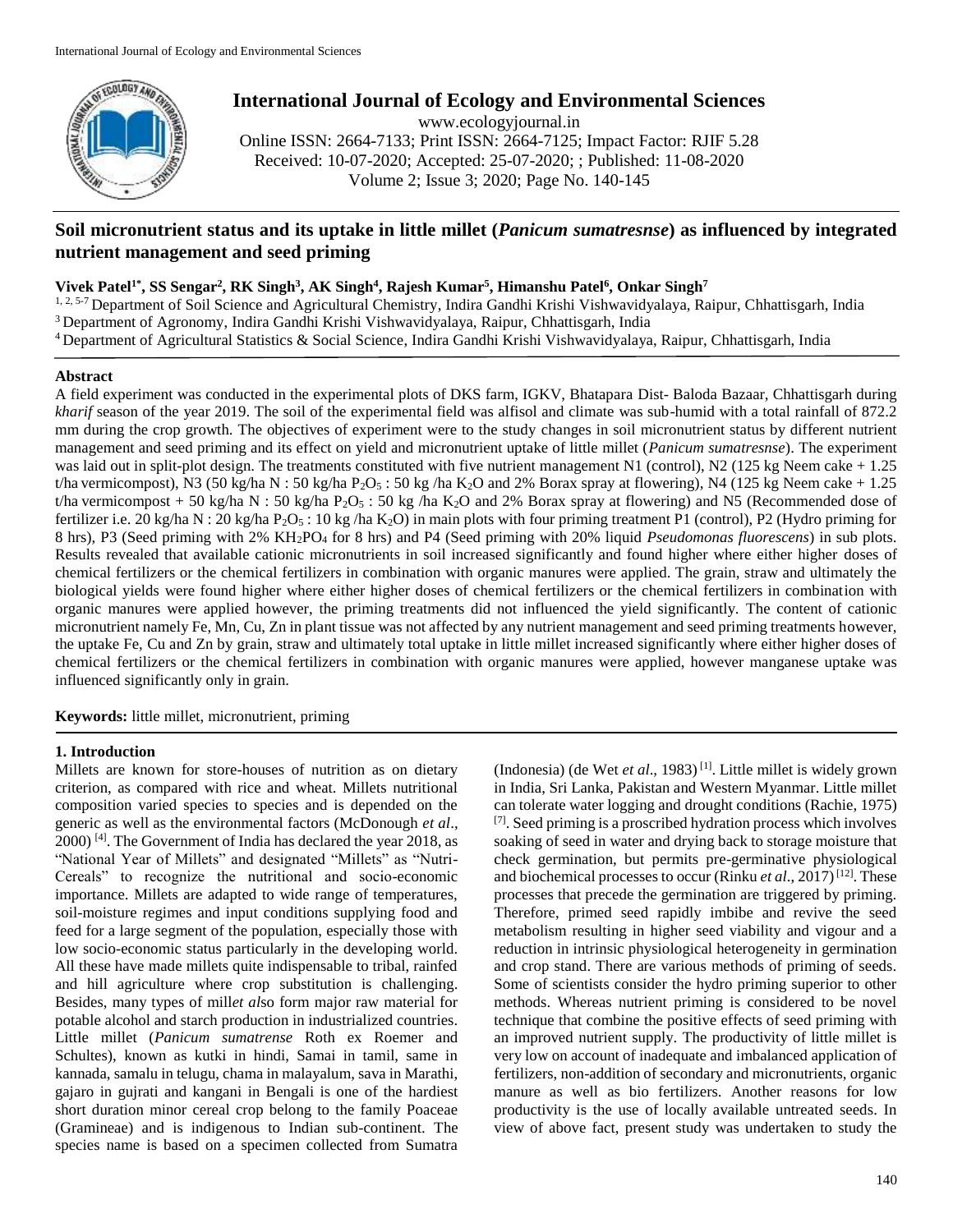

# **International Journal of Ecology and Environmental Sciences** www.ecologyjournal.in

Online ISSN: 2664-7133; Print ISSN: 2664-7125; Impact Factor: RJIF 5.28 Received: 10-07-2020; Accepted: 25-07-2020; ; Published: 11-08-2020 Volume 2; Issue 3; 2020; Page No. 140-145

# **Soil micronutrient status and its uptake in little millet (***Panicum sumatresnse***) as influenced by integrated nutrient management and seed priming**

# **Vivek Patel1\*, SS Sengar<sup>2</sup> , RK Singh<sup>3</sup> , AK Singh<sup>4</sup> , Rajesh Kumar<sup>5</sup> , Himanshu Patel<sup>6</sup> , Onkar Singh<sup>7</sup>**

1, 2, 5-7 Department of Soil Science and Agricultural Chemistry, Indira Gandhi Krishi Vishwavidyalaya, Raipur, Chhattisgarh, India <sup>3</sup>Department of Agronomy, Indira Gandhi Krishi Vishwavidyalaya, Raipur, Chhattisgarh, India <sup>4</sup>Department of Agricultural Statistics & Social Science, Indira Gandhi Krishi Vishwavidyalaya, Raipur, Chhattisgarh, India

# **Abstract**

A field experiment was conducted in the experimental plots of DKS farm, IGKV, Bhatapara Dist- Baloda Bazaar, Chhattisgarh during *kharif* season of the year 2019. The soil of the experimental field was alfisol and climate was sub-humid with a total rainfall of 872.2 mm during the crop growth. The objectives of experiment were to the study changes in soil micronutrient status by different nutrient management and seed priming and its effect on yield and micronutrient uptake of little millet (*Panicum sumatresnse*). The experiment was laid out in split-plot design. The treatments constituted with five nutrient management N1 (control), N2 (125 kg Neem cake + 1.25 t/ha vermicompost), N3 (50 kg/ha N : 50 kg/ha P<sub>2</sub>O<sub>5</sub> : 50 kg/ha K<sub>2</sub>O and 2% Borax spray at flowering), N4 (125 kg Neem cake + 1.25 t/ha vermicompost + 50 kg/ha N : 50 kg/ha  $P_2O_5$  : 50 kg/ha  $K_2O$  and 2% Borax spray at flowering) and N5 (Recommended dose of fertilizer i.e. 20 kg/ha N : 20 kg/ha P<sub>2</sub>O<sub>5</sub> : 10 kg/ha K<sub>2</sub>O) in main plots with four priming treatment P1 (control), P2 (Hydro priming for 8 hrs), P3 (Seed priming with 2% KH2PO<sup>4</sup> for 8 hrs) and P4 (Seed priming with 20% liquid *Pseudomonas fluorescens*) in sub plots. Results revealed that available cationic micronutrients in soil increased significantly and found higher where either higher doses of chemical fertilizers or the chemical fertilizers in combination with organic manures were applied. The grain, straw and ultimately the biological yields were found higher where either higher doses of chemical fertilizers or the chemical fertilizers in combination with organic manures were applied however, the priming treatments did not influenced the yield significantly. The content of cationic micronutrient namely Fe, Mn, Cu, Zn in plant tissue was not affected by any nutrient management and seed priming treatments however, the uptake Fe, Cu and Zn by grain, straw and ultimately total uptake in little millet increased significantly where either higher doses of chemical fertilizers or the chemical fertilizers in combination with organic manures were applied, however manganese uptake was influenced significantly only in grain.

**Keywords:** little millet, micronutrient, priming

# **1. Introduction**

Millets are known for store-houses of nutrition as on dietary criterion, as compared with rice and wheat. Millets nutritional composition varied species to species and is depended on the generic as well as the environmental factors (McDonough *et al*.,  $2000$ <sup>[4]</sup>. The Government of India has declared the year  $2018$ , as "National Year of Millets" and designated "Millets" as "Nutri-Cereals" to recognize the nutritional and socio-economic importance. Millets are adapted to wide range of temperatures, soil-moisture regimes and input conditions supplying food and feed for a large segment of the population, especially those with low socio-economic status particularly in the developing world. All these have made millets quite indispensable to tribal, rainfed and hill agriculture where crop substitution is challenging. Besides, many types of mill*et al*so form major raw material for potable alcohol and starch production in industrialized countries. Little millet (*Panicum sumatrense* Roth ex Roemer and Schultes), known as kutki in hindi, Samai in tamil, same in kannada, samalu in telugu, chama in malayalum, sava in Marathi, gajaro in gujrati and kangani in Bengali is one of the hardiest short duration minor cereal crop belong to the family Poaceae (Gramineae) and is indigenous to Indian sub-continent. The species name is based on a specimen collected from Sumatra

(Indonesia) (de Wet *et al*., 1983) [1]. Little millet is widely grown in India, Sri Lanka, Pakistan and Western Myanmar. Little millet can tolerate water logging and drought conditions (Rachie, 1975) [7]. Seed priming is a proscribed hydration process which involves soaking of seed in water and drying back to storage moisture that check germination, but permits pre-germinative physiological and biochemical processes to occur (Rinku *et al.*, 2017)<sup>[12]</sup>. These processes that precede the germination are triggered by priming. Therefore, primed seed rapidly imbibe and revive the seed metabolism resulting in higher seed viability and vigour and a reduction in intrinsic physiological heterogeneity in germination and crop stand. There are various methods of priming of seeds. Some of scientists consider the hydro priming superior to other methods. Whereas nutrient priming is considered to be novel technique that combine the positive effects of seed priming with an improved nutrient supply. The productivity of little millet is very low on account of inadequate and imbalanced application of fertilizers, non-addition of secondary and micronutrients, organic manure as well as bio fertilizers. Another reasons for low productivity is the use of locally available untreated seeds. In view of above fact, present study was undertaken to study the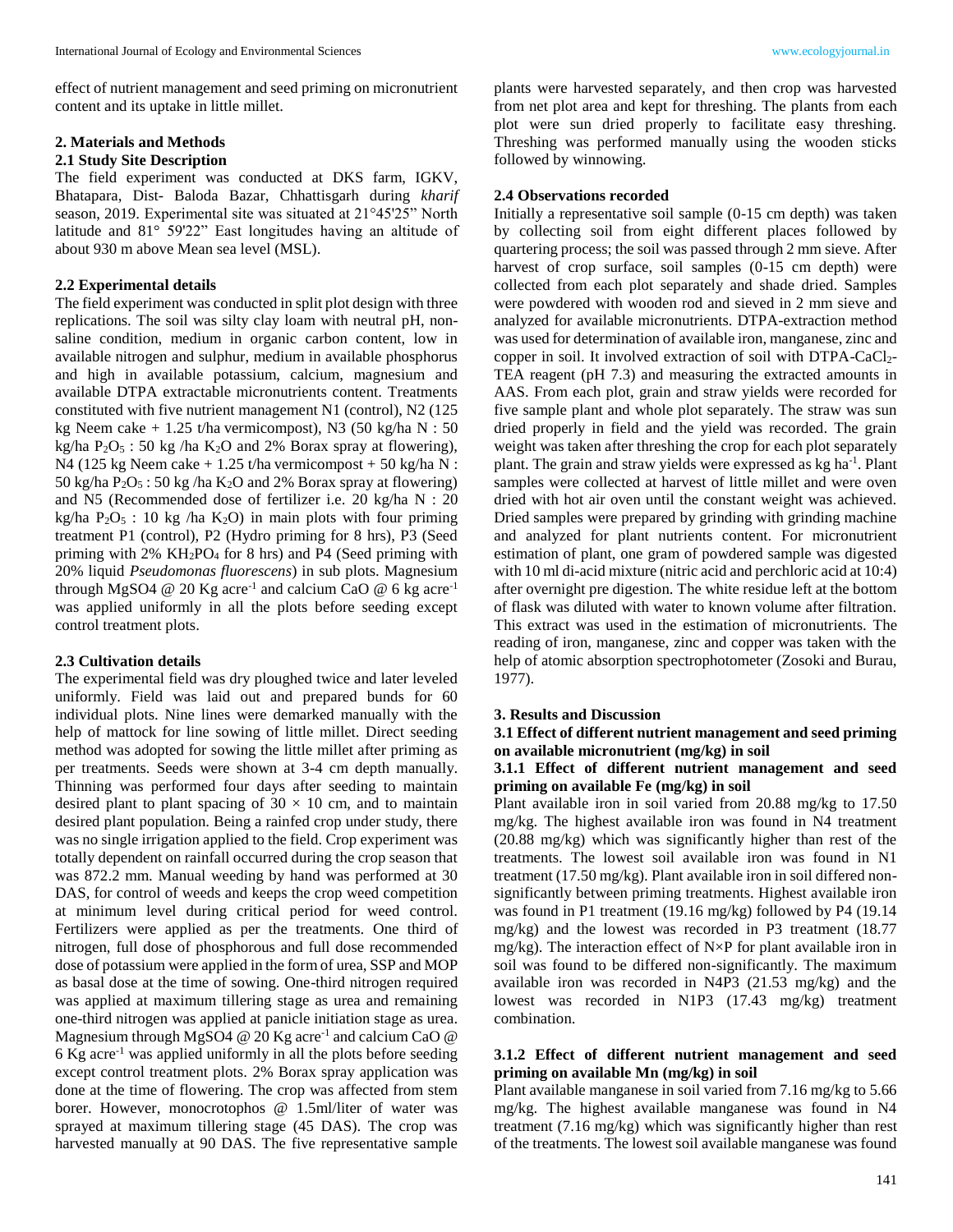effect of nutrient management and seed priming on micronutrient content and its uptake in little millet.

#### **2. Materials and Methods**

## **2.1 Study Site Description**

The field experiment was conducted at DKS farm, IGKV, Bhatapara, Dist- Baloda Bazar, Chhattisgarh during *kharif* season, 2019. Experimental site was situated at 21°45'25" North latitude and 81° 59'22" East longitudes having an altitude of about 930 m above Mean sea level (MSL).

### **2.2 Experimental details**

The field experiment was conducted in split plot design with three replications. The soil was silty clay loam with neutral pH, nonsaline condition, medium in organic carbon content, low in available nitrogen and sulphur, medium in available phosphorus and high in available potassium, calcium, magnesium and available DTPA extractable micronutrients content. Treatments constituted with five nutrient management N1 (control), N2 (125 kg Neem cake + 1.25 t/ha vermicompost), N3 (50 kg/ha N : 50 kg/ha  $P_2O_5$ : 50 kg/ha K<sub>2</sub>O and 2% Borax spray at flowering), N4 (125 kg Neem cake  $+ 1.25$  t/ha vermicompost  $+ 50$  kg/ha N : 50 kg/ha  $P_2O_5$ : 50 kg/ha  $K_2O$  and 2% Borax spray at flowering) and N5 (Recommended dose of fertilizer i.e. 20 kg/ha N : 20 kg/ha  $P_2O_5$ : 10 kg /ha K<sub>2</sub>O) in main plots with four priming treatment P1 (control), P2 (Hydro priming for 8 hrs), P3 (Seed priming with  $2\%$  KH<sub>2</sub>PO<sub>4</sub> for 8 hrs) and P4 (Seed priming with 20% liquid *Pseudomonas fluorescens*) in sub plots. Magnesium through MgSO4  $@$  20 Kg acre<sup>-1</sup> and calcium CaO  $@$  6 kg acre<sup>-1</sup> was applied uniformly in all the plots before seeding except control treatment plots.

#### **2.3 Cultivation details**

The experimental field was dry ploughed twice and later leveled uniformly. Field was laid out and prepared bunds for 60 individual plots. Nine lines were demarked manually with the help of mattock for line sowing of little millet. Direct seeding method was adopted for sowing the little millet after priming as per treatments. Seeds were shown at 3-4 cm depth manually. Thinning was performed four days after seeding to maintain desired plant to plant spacing of  $30 \times 10$  cm, and to maintain desired plant population. Being a rainfed crop under study, there was no single irrigation applied to the field. Crop experiment was totally dependent on rainfall occurred during the crop season that was 872.2 mm. Manual weeding by hand was performed at 30 DAS, for control of weeds and keeps the crop weed competition at minimum level during critical period for weed control. Fertilizers were applied as per the treatments. One third of nitrogen, full dose of phosphorous and full dose recommended dose of potassium were applied in the form of urea, SSP and MOP as basal dose at the time of sowing. One-third nitrogen required was applied at maximum tillering stage as urea and remaining one-third nitrogen was applied at panicle initiation stage as urea. Magnesium through MgSO4 @ 20 Kg acre<sup>-1</sup> and calcium CaO @  $6$  Kg acre<sup>-1</sup> was applied uniformly in all the plots before seeding except control treatment plots. 2% Borax spray application was done at the time of flowering. The crop was affected from stem borer. However, monocrotophos @ 1.5ml/liter of water was sprayed at maximum tillering stage (45 DAS). The crop was harvested manually at 90 DAS. The five representative sample

plants were harvested separately, and then crop was harvested from net plot area and kept for threshing. The plants from each plot were sun dried properly to facilitate easy threshing. Threshing was performed manually using the wooden sticks followed by winnowing.

#### **2.4 Observations recorded**

Initially a representative soil sample (0-15 cm depth) was taken by collecting soil from eight different places followed by quartering process; the soil was passed through 2 mm sieve. After harvest of crop surface, soil samples  $(0-15 \text{ cm depth})$  were collected from each plot separately and shade dried. Samples were powdered with wooden rod and sieved in 2 mm sieve and analyzed for available micronutrients. DTPA-extraction method was used for determination of available iron, manganese, zinc and copper in soil. It involved extraction of soil with  $DTPA-CaCl<sub>2</sub>-$ TEA reagent (pH 7.3) and measuring the extracted amounts in AAS. From each plot, grain and straw yields were recorded for five sample plant and whole plot separately. The straw was sun dried properly in field and the yield was recorded. The grain weight was taken after threshing the crop for each plot separately plant. The grain and straw yields were expressed as kg ha<sup>-1</sup>. Plant samples were collected at harvest of little millet and were oven dried with hot air oven until the constant weight was achieved. Dried samples were prepared by grinding with grinding machine and analyzed for plant nutrients content. For micronutrient estimation of plant, one gram of powdered sample was digested with 10 ml di-acid mixture (nitric acid and perchloric acid at 10:4) after overnight pre digestion. The white residue left at the bottom of flask was diluted with water to known volume after filtration. This extract was used in the estimation of micronutrients. The reading of iron, manganese, zinc and copper was taken with the help of atomic absorption spectrophotometer (Zosoki and Burau, 1977).

#### **3. Results and Discussion**

## **3.1 Effect of different nutrient management and seed priming on available micronutrient (mg/kg) in soil**

## **3.1.1 Effect of different nutrient management and seed priming on available Fe (mg/kg) in soil**

Plant available iron in soil varied from 20.88 mg/kg to 17.50 mg/kg. The highest available iron was found in N4 treatment (20.88 mg/kg) which was significantly higher than rest of the treatments. The lowest soil available iron was found in N1 treatment (17.50 mg/kg). Plant available iron in soil differed nonsignificantly between priming treatments. Highest available iron was found in P1 treatment (19.16 mg/kg) followed by P4 (19.14 mg/kg) and the lowest was recorded in P3 treatment (18.77 mg/kg). The interaction effect of N×P for plant available iron in soil was found to be differed non-significantly. The maximum available iron was recorded in N4P3 (21.53 mg/kg) and the lowest was recorded in N1P3 (17.43 mg/kg) treatment combination.

# **3.1.2 Effect of different nutrient management and seed priming on available Mn (mg/kg) in soil**

Plant available manganese in soil varied from 7.16 mg/kg to 5.66 mg/kg. The highest available manganese was found in N4 treatment (7.16 mg/kg) which was significantly higher than rest of the treatments. The lowest soil available manganese was found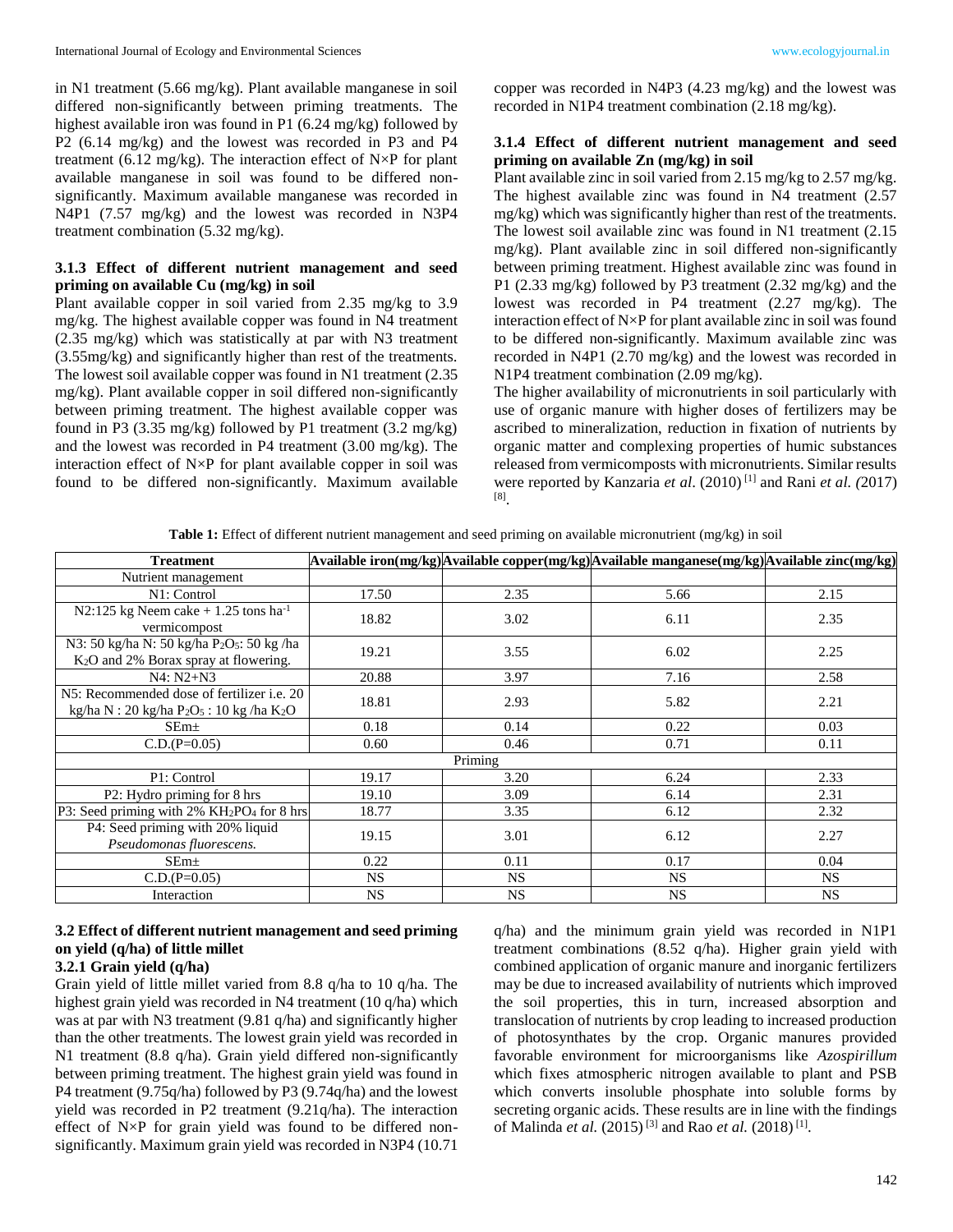in N1 treatment (5.66 mg/kg). Plant available manganese in soil differed non-significantly between priming treatments. The highest available iron was found in P1 (6.24 mg/kg) followed by P2 (6.14 mg/kg) and the lowest was recorded in P3 and P4 treatment (6.12 mg/kg). The interaction effect of  $N \times P$  for plant available manganese in soil was found to be differed nonsignificantly. Maximum available manganese was recorded in N4P1 (7.57 mg/kg) and the lowest was recorded in N3P4 treatment combination (5.32 mg/kg).

# **3.1.3 Effect of different nutrient management and seed priming on available Cu (mg/kg) in soil**

Plant available copper in soil varied from 2.35 mg/kg to 3.9 mg/kg. The highest available copper was found in N4 treatment (2.35 mg/kg) which was statistically at par with N3 treatment (3.55mg/kg) and significantly higher than rest of the treatments. The lowest soil available copper was found in N1 treatment (2.35 mg/kg). Plant available copper in soil differed non-significantly between priming treatment. The highest available copper was found in P3 (3.35 mg/kg) followed by P1 treatment (3.2 mg/kg) and the lowest was recorded in P4 treatment (3.00 mg/kg). The interaction effect of N×P for plant available copper in soil was found to be differed non-significantly. Maximum available

copper was recorded in N4P3 (4.23 mg/kg) and the lowest was recorded in N1P4 treatment combination (2.18 mg/kg).

## **3.1.4 Effect of different nutrient management and seed priming on available Zn (mg/kg) in soil**

Plant available zinc in soil varied from 2.15 mg/kg to 2.57 mg/kg. The highest available zinc was found in N4 treatment (2.57 mg/kg) which was significantly higher than rest of the treatments. The lowest soil available zinc was found in N1 treatment (2.15 mg/kg). Plant available zinc in soil differed non-significantly between priming treatment. Highest available zinc was found in P1 (2.33 mg/kg) followed by P3 treatment (2.32 mg/kg) and the lowest was recorded in P4 treatment (2.27 mg/kg). The interaction effect of N×P for plant available zinc in soil was found to be differed non-significantly. Maximum available zinc was recorded in N4P1 (2.70 mg/kg) and the lowest was recorded in N1P4 treatment combination (2.09 mg/kg).

The higher availability of micronutrients in soil particularly with use of organic manure with higher doses of fertilizers may be ascribed to mineralization, reduction in fixation of nutrients by organic matter and complexing properties of humic substances released from vermicomposts with micronutrients. Similar results were reported by Kanzaria *et al*. (2010) [1] and Rani *et al. (*2017) [8] .

**Table 1:** Effect of different nutrient management and seed priming on available micronutrient (mg/kg) in soil

| <b>Treatment</b>                                                                                       |           |           | Available iron(mg/kg) Available copper(mg/kg) Available manganese(mg/kg) Available zinc(mg/kg) |           |
|--------------------------------------------------------------------------------------------------------|-----------|-----------|------------------------------------------------------------------------------------------------|-----------|
| Nutrient management                                                                                    |           |           |                                                                                                |           |
| N1: Control                                                                                            | 17.50     | 2.35      | 5.66                                                                                           | 2.15      |
| N2:125 kg Neem cake $+1.25$ tons ha <sup>-1</sup><br>vermicompost                                      | 18.82     | 3.02      | 6.11                                                                                           | 2.35      |
| N3: 50 kg/ha N: 50 kg/ha P2O5: 50 kg/ha<br>K <sub>2</sub> O and 2% Borax spray at flowering.           | 19.21     | 3.55      | 6.02                                                                                           | 2.25      |
| $N4: N2+N3$                                                                                            | 20.88     | 3.97      | 7.16                                                                                           | 2.58      |
| N5: Recommended dose of fertilizer i.e. 20<br>kg/ha N : 20 kg/ha $P_2O_5$ : 10 kg /ha K <sub>2</sub> O | 18.81     | 2.93      | 5.82                                                                                           | 2.21      |
| SEm <sub>±</sub>                                                                                       | 0.18      | 0.14      | 0.22                                                                                           | 0.03      |
| $C.D.(P=0.05)$                                                                                         | 0.60      | 0.46      | 0.71                                                                                           | 0.11      |
|                                                                                                        |           | Priming   |                                                                                                |           |
| P1: Control                                                                                            | 19.17     | 3.20      | 6.24                                                                                           | 2.33      |
| P2: Hydro priming for 8 hrs                                                                            | 19.10     | 3.09      | 6.14                                                                                           | 2.31      |
| P3: Seed priming with 2% KH2PO4 for 8 hrs                                                              | 18.77     | 3.35      | 6.12                                                                                           | 2.32      |
| P4: Seed priming with 20% liquid<br>Pseudomonas fluorescens.                                           | 19.15     | 3.01      | 6.12                                                                                           | 2.27      |
| SEm <sub>±</sub>                                                                                       | 0.22      | 0.11      | 0.17                                                                                           | 0.04      |
| $C.D.(P=0.05)$                                                                                         | <b>NS</b> | <b>NS</b> | <b>NS</b>                                                                                      | NS.       |
| Interaction                                                                                            | NS.       | <b>NS</b> | <b>NS</b>                                                                                      | <b>NS</b> |

# **3.2 Effect of different nutrient management and seed priming on yield (q/ha) of little millet**

# **3.2.1 Grain yield (q/ha)**

Grain yield of little millet varied from 8.8 q/ha to 10 q/ha. The highest grain yield was recorded in N4 treatment (10 q/ha) which was at par with N3 treatment (9.81 q/ha) and significantly higher than the other treatments. The lowest grain yield was recorded in N1 treatment (8.8 q/ha). Grain yield differed non-significantly between priming treatment. The highest grain yield was found in P4 treatment (9.75q/ha) followed by P3 (9.74q/ha) and the lowest yield was recorded in P2 treatment (9.21q/ha). The interaction effect of N×P for grain yield was found to be differed nonsignificantly. Maximum grain yield was recorded in N3P4 (10.71

q/ha) and the minimum grain yield was recorded in N1P1 treatment combinations (8.52 q/ha). Higher grain yield with combined application of organic manure and inorganic fertilizers may be due to increased availability of nutrients which improved the soil properties, this in turn, increased absorption and translocation of nutrients by crop leading to increased production of photosynthates by the crop. Organic manures provided favorable environment for microorganisms like *Azospirillum* which fixes atmospheric nitrogen available to plant and PSB which converts insoluble phosphate into soluble forms by secreting organic acids. These results are in line with the findings of Malinda *et al.* (2015)<sup>[3]</sup> and Rao *et al.* (2018)<sup>[1]</sup>.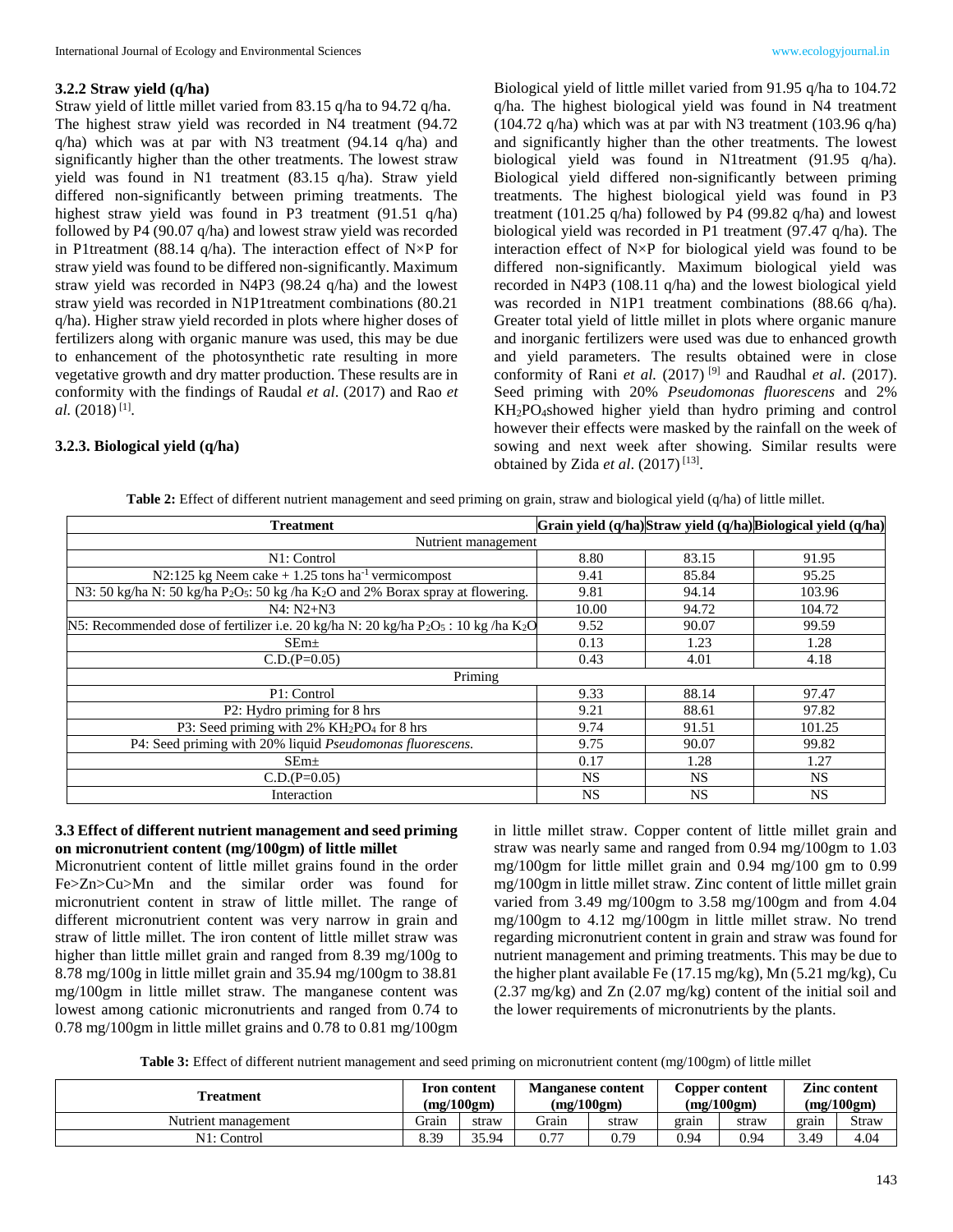### **3.2.2 Straw yield (q/ha)**

Straw yield of little millet varied from 83.15 q/ha to 94.72 q/ha. The highest straw yield was recorded in N4 treatment (94.72 q/ha) which was at par with N3 treatment (94.14 q/ha) and significantly higher than the other treatments. The lowest straw yield was found in N1 treatment (83.15 q/ha). Straw yield differed non-significantly between priming treatments. The highest straw yield was found in P3 treatment (91.51 q/ha) followed by P4 (90.07 q/ha) and lowest straw yield was recorded in P1treatment (88.14 q/ha). The interaction effect of N×P for straw yield was found to be differed non-significantly. Maximum straw yield was recorded in N4P3 (98.24 q/ha) and the lowest straw yield was recorded in N1P1treatment combinations (80.21 q/ha). Higher straw yield recorded in plots where higher doses of fertilizers along with organic manure was used, this may be due to enhancement of the photosynthetic rate resulting in more vegetative growth and dry matter production. These results are in conformity with the findings of Raudal *et al*. (2017) and Rao *et*  al. (2018)<sup>[1]</sup>.

## **3.2.3. Biological yield (q/ha)**

Biological yield of little millet varied from 91.95 q/ha to 104.72 q/ha. The highest biological yield was found in N4 treatment (104.72 q/ha) which was at par with N3 treatment (103.96 q/ha) and significantly higher than the other treatments. The lowest biological yield was found in N1treatment (91.95 q/ha). Biological yield differed non-significantly between priming treatments. The highest biological yield was found in P3 treatment (101.25 q/ha) followed by P4 (99.82 q/ha) and lowest biological yield was recorded in P1 treatment (97.47 q/ha). The interaction effect of N×P for biological yield was found to be differed non-significantly. Maximum biological yield was recorded in N4P3 (108.11 q/ha) and the lowest biological yield was recorded in N1P1 treatment combinations (88.66 q/ha). Greater total yield of little millet in plots where organic manure and inorganic fertilizers were used was due to enhanced growth and yield parameters. The results obtained were in close conformity of Rani *et al.* (2017) [9] and Raudhal *et al*. (2017). Seed priming with 20% *Pseudomonas fluorescens* and 2% KH2PO4showed higher yield than hydro priming and control however their effects were masked by the rainfall on the week of sowing and next week after showing. Similar results were obtained by Zida *et al.* (2017)<sup>[13]</sup>.

**Table 2:** Effect of different nutrient management and seed priming on grain, straw and biological yield (q/ha) of little millet.

| <b>Treatment</b>                                                                                                    |           |           | Grain yield (q/ha) Straw yield (q/ha) Biological yield (q/ha) |
|---------------------------------------------------------------------------------------------------------------------|-----------|-----------|---------------------------------------------------------------|
| Nutrient management                                                                                                 |           |           |                                                               |
| N1: Control                                                                                                         | 8.80      | 83.15     | 91.95                                                         |
| N2:125 kg Neem cake $+1.25$ tons ha <sup>-1</sup> vermicompost                                                      | 9.41      | 85.84     | 95.25                                                         |
| N3: 50 kg/ha N: 50 kg/ha P <sub>2</sub> O <sub>5</sub> : 50 kg/ha K <sub>2</sub> O and 2% Borax spray at flowering. | 9.81      | 94.14     | 103.96                                                        |
| $N4: N2+N3$                                                                                                         | 10.00     | 94.72     | 104.72                                                        |
| N5: Recommended dose of fertilizer i.e. 20 kg/ha N: 20 kg/ha P2O5 : 10 kg/ha K2O                                    | 9.52      | 90.07     | 99.59                                                         |
| SEm <sub>±</sub>                                                                                                    | 0.13      | 1.23      | 1.28                                                          |
| $C.D.(P=0.05)$                                                                                                      | 0.43      | 4.01      | 4.18                                                          |
| Priming                                                                                                             |           |           |                                                               |
| P1: Control                                                                                                         | 9.33      | 88.14     | 97.47                                                         |
| P2: Hydro priming for 8 hrs                                                                                         | 9.21      | 88.61     | 97.82                                                         |
| P3: Seed priming with 2% KH2PO4 for 8 hrs                                                                           | 9.74      | 91.51     | 101.25                                                        |
| P4: Seed priming with 20% liquid Pseudomonas fluorescens.                                                           | 9.75      | 90.07     | 99.82                                                         |
| SEm <sub>±</sub>                                                                                                    | 0.17      | 1.28      | 1.27                                                          |
| $C.D.(P=0.05)$                                                                                                      | <b>NS</b> | <b>NS</b> | <b>NS</b>                                                     |
| Interaction                                                                                                         | <b>NS</b> | <b>NS</b> | <b>NS</b>                                                     |

### **3.3 Effect of different nutrient management and seed priming on micronutrient content (mg/100gm) of little millet**

Micronutrient content of little millet grains found in the order Fe>Zn>Cu>Mn and the similar order was found for micronutrient content in straw of little millet. The range of different micronutrient content was very narrow in grain and straw of little millet. The iron content of little millet straw was higher than little millet grain and ranged from 8.39 mg/100g to 8.78 mg/100g in little millet grain and 35.94 mg/100gm to 38.81 mg/100gm in little millet straw. The manganese content was lowest among cationic micronutrients and ranged from 0.74 to 0.78 mg/100gm in little millet grains and 0.78 to 0.81 mg/100gm in little millet straw. Copper content of little millet grain and straw was nearly same and ranged from 0.94 mg/100gm to 1.03 mg/100gm for little millet grain and 0.94 mg/100 gm to 0.99 mg/100gm in little millet straw. Zinc content of little millet grain varied from 3.49 mg/100gm to 3.58 mg/100gm and from 4.04 mg/100gm to 4.12 mg/100gm in little millet straw. No trend regarding micronutrient content in grain and straw was found for nutrient management and priming treatments. This may be due to the higher plant available Fe (17.15 mg/kg), Mn (5.21 mg/kg), Cu (2.37 mg/kg) and Zn (2.07 mg/kg) content of the initial soil and the lower requirements of micronutrients by the plants.

| Table 3: Effect of different nutrient management and seed priming on micronutrient content (mg/100gm) of little millet |  |  |
|------------------------------------------------------------------------------------------------------------------------|--|--|
|                                                                                                                        |  |  |

| l'reatment          | <b>Iron content</b><br>(mg/100gm) |       | <b>Manganese content</b><br>(mg/100gm) |       |       | Copper content<br>(mg/100gm) | <b>Zinc content</b><br>(mg/100gm) |       |  |
|---------------------|-----------------------------------|-------|----------------------------------------|-------|-------|------------------------------|-----------------------------------|-------|--|
| Nutrient management | .<br>.<br>rain                    | straw | Grain                                  | straw | grain | straw                        | grain                             | Straw |  |
| N1: Control         | 6.39                              | 35.94 | n 77                                   | J.79  | 0.94  | 0.94                         | 3.49                              | 4.04  |  |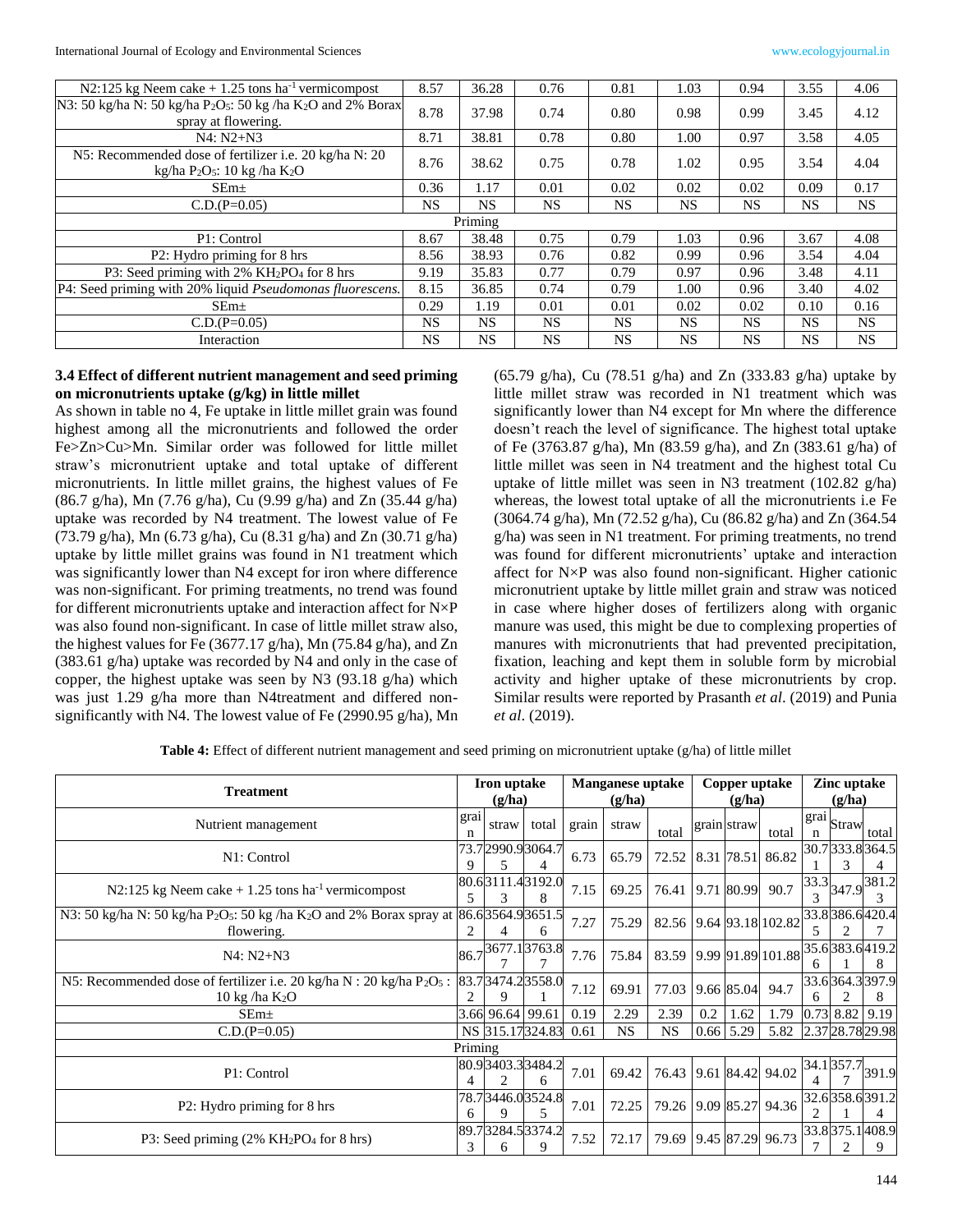International Journal of Ecology and Environmental Sciences www.ecologyjournal.in

| N2:125 kg Neem cake $+1.25$ tons ha <sup>-1</sup> vermicompost                                                          | 8.57      | 36.28   | 0.76      | 0.81      | 1.03      | 0.94      | 3.55      | 4.06      |
|-------------------------------------------------------------------------------------------------------------------------|-----------|---------|-----------|-----------|-----------|-----------|-----------|-----------|
| N3: 50 kg/ha N: 50 kg/ha P <sub>2</sub> O <sub>5</sub> : 50 kg /ha K <sub>2</sub> O and 2% Borax<br>spray at flowering. | 8.78      | 37.98   | 0.74      | 0.80      | 0.98      | 0.99      | 3.45      | 4.12      |
| $N4: N2+N3$                                                                                                             | 8.71      | 38.81   | 0.78      | 0.80      | 1.00      | 0.97      | 3.58      | 4.05      |
| N5: Recommended dose of fertilizer i.e. 20 kg/ha N: 20<br>kg/ha $P_2O_5$ : 10 kg/ha $K_2O$                              | 8.76      | 38.62   | 0.75      | 0.78      | 1.02      | 0.95      | 3.54      | 4.04      |
| SEm <sub>±</sub>                                                                                                        | 0.36      | 1.17    | 0.01      | 0.02      | 0.02      | 0.02      | 0.09      | 0.17      |
| $C.D.(P=0.05)$                                                                                                          | NS.       | NS.     | <b>NS</b> | NS        | <b>NS</b> | NS.       | <b>NS</b> | <b>NS</b> |
|                                                                                                                         |           | Priming |           |           |           |           |           |           |
| P1: Control                                                                                                             | 8.67      | 38.48   | 0.75      | 0.79      | 1.03      | 0.96      | 3.67      | 4.08      |
| P2: Hydro priming for 8 hrs                                                                                             | 8.56      | 38.93   | 0.76      | 0.82      | 0.99      | 0.96      | 3.54      | 4.04      |
| P3: Seed priming with 2% KH <sub>2</sub> PO <sub>4</sub> for 8 hrs                                                      | 9.19      | 35.83   | 0.77      | 0.79      | 0.97      | 0.96      | 3.48      | 4.11      |
| P4: Seed priming with 20% liquid <i>Pseudomonas fluorescens</i> .                                                       | 8.15      | 36.85   | 0.74      | 0.79      | 1.00      | 0.96      | 3.40      | 4.02      |
| SEm <sub>±</sub>                                                                                                        | 0.29      | 1.19    | 0.01      | 0.01      | 0.02      | 0.02      | 0.10      | 0.16      |
| $C.D.(P=0.05)$                                                                                                          | NS.       | NS.     | <b>NS</b> | <b>NS</b> | <b>NS</b> | NS.       | <b>NS</b> | <b>NS</b> |
| Interaction                                                                                                             | <b>NS</b> | NS.     | <b>NS</b> | <b>NS</b> | <b>NS</b> | <b>NS</b> | <b>NS</b> | <b>NS</b> |

## **3.4 Effect of different nutrient management and seed priming on micronutrients uptake (g/kg) in little millet**

As shown in table no 4, Fe uptake in little millet grain was found highest among all the micronutrients and followed the order Fe>Zn>Cu>Mn. Similar order was followed for little millet straw's micronutrient uptake and total uptake of different micronutrients. In little millet grains, the highest values of Fe (86.7 g/ha), Mn (7.76 g/ha), Cu (9.99 g/ha) and Zn (35.44 g/ha) uptake was recorded by N4 treatment. The lowest value of Fe (73.79 g/ha), Mn (6.73 g/ha), Cu (8.31 g/ha) and Zn (30.71 g/ha) uptake by little millet grains was found in N1 treatment which was significantly lower than N4 except for iron where difference was non-significant. For priming treatments, no trend was found for different micronutrients uptake and interaction affect for N×P was also found non-significant. In case of little millet straw also, the highest values for Fe (3677.17 g/ha), Mn (75.84 g/ha), and Zn (383.61 g/ha) uptake was recorded by N4 and only in the case of copper, the highest uptake was seen by N3 (93.18 g/ha) which was just 1.29 g/ha more than N4treatment and differed nonsignificantly with N4. The lowest value of Fe (2990.95 g/ha), Mn

(65.79 g/ha), Cu (78.51 g/ha) and Zn (333.83 g/ha) uptake by little millet straw was recorded in N1 treatment which was significantly lower than N4 except for Mn where the difference doesn't reach the level of significance. The highest total uptake of Fe (3763.87 g/ha), Mn (83.59 g/ha), and Zn (383.61 g/ha) of little millet was seen in N4 treatment and the highest total Cu uptake of little millet was seen in N3 treatment (102.82 g/ha) whereas, the lowest total uptake of all the micronutrients i.e Fe (3064.74 g/ha), Mn (72.52 g/ha), Cu (86.82 g/ha) and Zn (364.54 g/ha) was seen in N1 treatment. For priming treatments, no trend was found for different micronutrients' uptake and interaction affect for N×P was also found non-significant. Higher cationic micronutrient uptake by little millet grain and straw was noticed in case where higher doses of fertilizers along with organic manure was used, this might be due to complexing properties of manures with micronutrients that had prevented precipitation, fixation, leaching and kept them in soluble form by microbial activity and higher uptake of these micronutrients by crop. Similar results were reported by Prasanth *et al*. (2019) and Punia *et al*. (2019).

**Table 4:** Effect of different nutrient management and seed priming on micronutrient uptake (g/ha) of little millet

| <b>Treatment</b>                                                                                                       | Iron uptake<br>(g/ha) |                  |                          |       | <b>Manganese uptake</b><br>(g/ha) |                         |     | (g/ha)      | Copper uptake           |               | Zinc uptake<br>(g/ha)                     |                  |
|------------------------------------------------------------------------------------------------------------------------|-----------------------|------------------|--------------------------|-------|-----------------------------------|-------------------------|-----|-------------|-------------------------|---------------|-------------------------------------------|------------------|
| Nutrient management                                                                                                    | grai<br>n             | straw            | total                    | grain | straw                             | total                   |     | grain straw | total                   | n             | $ \overline{\text{grai}} _{\text{Straw}}$ | total            |
| N1: Control                                                                                                            | 9                     |                  | 73.72990.93064.7         | 6.73  | 65.79                             | 72.52                   |     |             | 8.31 78.51 86.82        |               | 30.7333.8364.5                            |                  |
| N2:125 kg Neem cake $+1.25$ tons ha <sup>-1</sup> vermicompost                                                         | 5                     |                  | 80.63111.43192.0         | 7.15  | 69.25                             | 76.41 9.71 80.99        |     |             | 90.7                    | $\mathcal{R}$ | $33.3$ 347.9 $381.2$                      |                  |
| N3: 50 kg/ha N: 50 kg/ha P <sub>2</sub> O <sub>5</sub> : 50 kg/ha K <sub>2</sub> O and 2% Borax spray at<br>flowering. |                       |                  | 86.63564.93651.5<br>6    | 7.27  | 75.29                             | 82.56 9.64 93.18 102.82 |     |             |                         |               | 33.8 386.6 420.4                          |                  |
| N4: N2+N3                                                                                                              |                       |                  | $ 86.7 ^{3677.1 3763.8}$ | 7.76  | 75.84                             |                         |     |             | 83.59 9.99 91.89 101.88 | 6             | 35.6383.6419.2                            |                  |
| N5: Recommended dose of fertilizer i.e. 20 kg/ha $N: 20$ kg/ha $P_2O_5$ :<br>$10 \text{ kg}$ /ha K <sub>2</sub> O      |                       |                  | 83.73474.23558.0         | 7.12  | 69.91                             | 77.03                   |     | 9.66 85.04  | 94.7                    | 6             | 33.6364.3397.9                            |                  |
| SEm <sub>±</sub>                                                                                                       |                       | 3.66 96.64 99.61 |                          | 0.19  | 2.29                              | 2.39                    | 0.2 | 1.62        | 1.79                    |               | $0.73$ 8.82 9.19                          |                  |
| $C.D.(P=0.05)$                                                                                                         |                       |                  | NS 315.17324.83          | 0.61  | <b>NS</b>                         | <b>NS</b>               |     | $0.66$ 5.29 | 5.82                    |               |                                           | 2.37 28.78 29.98 |
|                                                                                                                        | Priming               |                  |                          |       |                                   |                         |     |             |                         |               |                                           |                  |
| P1: Control                                                                                                            |                       |                  | 80.93403.33484.2<br>6    | 7.01  | 69.42                             | 76.43 9.61 84.42 94.02  |     |             |                         |               | 34.1357.7                                 | 391.9            |
| P2: Hydro priming for 8 hrs                                                                                            | 6                     | Q                | 78.73446.03524.8         | 7.01  | 72.25                             | 79.26 9.09 85.27 94.36  |     |             |                         |               | 32.6358.6391.2                            |                  |
| P3: Seed priming $(2\% \overline{KH_2PO_4}$ for 8 hrs)                                                                 | 3                     | 6                | 89.73284.53374.2         | 7.52  | 72.17                             | 79.69 9.45 87.29 96.73  |     |             |                         |               | 33.8375.1408.9                            |                  |